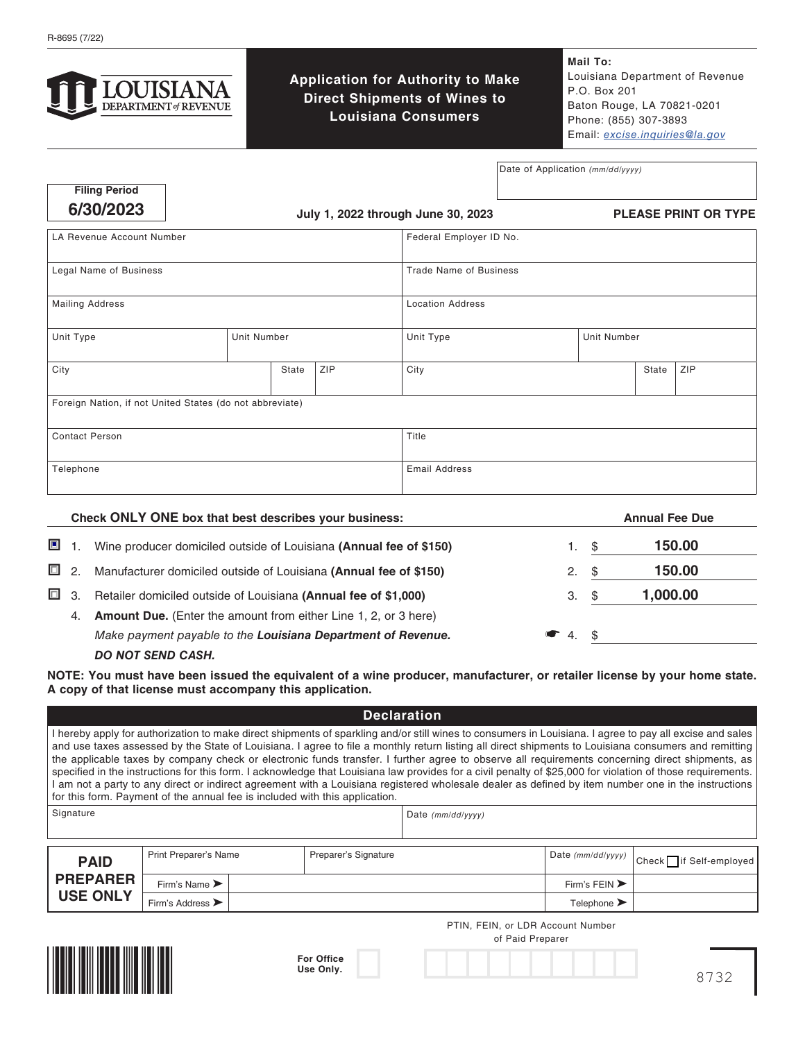

**Application for Authority to Make Direct Shipments of Wines to Louisiana Consumers**

**Mail To:** Louisiana Department of Revenue P.O. Box 201 Baton Rouge, LA 70821-0201 Phone: (855) 307-3893 Email: *[excise.inquiries@la.gov](mailto:excise.inquiries%40la.gov?subject=)*

Date of Application *(mm/dd/yyyy)*

| <b>Filing Period</b> |
|----------------------|
| 6/30/2023            |

**6/30/2023 July 1, 2022 through June 30, 2023**

**PLEASE PRINT OR TYPE**

| LA Revenue Account Number                                |             | Federal Employer ID No.       |  |                         |                    |       |     |
|----------------------------------------------------------|-------------|-------------------------------|--|-------------------------|--------------------|-------|-----|
| Legal Name of Business                                   |             | <b>Trade Name of Business</b> |  |                         |                    |       |     |
| <b>Mailing Address</b>                                   |             |                               |  | <b>Location Address</b> |                    |       |     |
| Unit Type                                                | Unit Number |                               |  | Unit Type               | <b>Unit Number</b> |       |     |
| City                                                     | State       | ZIP                           |  | City                    |                    | State | ZIP |
| Foreign Nation, if not United States (do not abbreviate) |             |                               |  |                         |                    |       |     |
| <b>Contact Person</b>                                    |             |                               |  | Title                   |                    |       |     |
| Telephone                                                |             |                               |  | <b>Email Address</b>    |                    |       |     |

|      | Check ONLY ONE box that best describes your business:                  |              |      | <b>Annual Fee Due</b> |
|------|------------------------------------------------------------------------|--------------|------|-----------------------|
| 画 1. | Wine producer domiciled outside of Louisiana (Annual fee of \$150)     |              | \$   | 150.00                |
| □ 2. | Manufacturer domiciled outside of Louisiana (Annual fee of \$150)      | 2.           | - \$ | 150.00                |
| □ 3. | Retailer domiciled outside of Louisiana (Annual fee of \$1,000)        | З.           | - \$ | 1,000.00              |
| 4.   | <b>Amount Due.</b> (Enter the amount from either Line 1, 2, or 3 here) |              |      |                       |
|      | Make payment payable to the Louisiana Department of Revenue.           | $\bullet$ 4. | - \$ |                       |
|      | <b>DO NOT SEND CASH.</b>                                               |              |      |                       |

**NOTE: You must have been issued the equivalent of a wine producer, manufacturer, or retailer license by your home state. A copy of that license must accompany this application.**

|                 |                                      |                      |                                                                             | <b>Declaration</b>                                                                                                                                                                                                                                                                                                                                                                                                                                                                                                                                                                                                                                                                                                                                                                        |                                   |                        |
|-----------------|--------------------------------------|----------------------|-----------------------------------------------------------------------------|-------------------------------------------------------------------------------------------------------------------------------------------------------------------------------------------------------------------------------------------------------------------------------------------------------------------------------------------------------------------------------------------------------------------------------------------------------------------------------------------------------------------------------------------------------------------------------------------------------------------------------------------------------------------------------------------------------------------------------------------------------------------------------------------|-----------------------------------|------------------------|
|                 |                                      |                      | for this form. Payment of the annual fee is included with this application. | I hereby apply for authorization to make direct shipments of sparkling and/or still wines to consumers in Louisiana. I agree to pay all excise and sales<br>and use taxes assessed by the State of Louisiana. I agree to file a monthly return listing all direct shipments to Louisiana consumers and remitting<br>the applicable taxes by company check or electronic funds transfer. I further agree to observe all requirements concerning direct shipments, as<br>specified in the instructions for this form. I acknowledge that Louisiana law provides for a civil penalty of \$25,000 for violation of those requirements.<br>I am not a party to any direct or indirect agreement with a Louisiana registered wholesale dealer as defined by item number one in the instructions |                                   |                        |
| Signature       |                                      |                      |                                                                             | Date $(mm/dd/yyyy)$                                                                                                                                                                                                                                                                                                                                                                                                                                                                                                                                                                                                                                                                                                                                                                       |                                   |                        |
|                 |                                      |                      |                                                                             |                                                                                                                                                                                                                                                                                                                                                                                                                                                                                                                                                                                                                                                                                                                                                                                           |                                   |                        |
| <b>PAID</b>     | Print Preparer's Name                | Preparer's Signature |                                                                             |                                                                                                                                                                                                                                                                                                                                                                                                                                                                                                                                                                                                                                                                                                                                                                                           | Date (mm/dd/yyyy)                 | Check if Self-employed |
| <b>PREPARER</b> | Firm's Name >                        |                      |                                                                             |                                                                                                                                                                                                                                                                                                                                                                                                                                                                                                                                                                                                                                                                                                                                                                                           | Firm's FEIN $\blacktriangleright$ |                        |
| <b>USE ONLY</b> | Firm's Address $\blacktriangleright$ |                      |                                                                             |                                                                                                                                                                                                                                                                                                                                                                                                                                                                                                                                                                                                                                                                                                                                                                                           | Telephone $\blacktriangleright$   |                        |
|                 |                                      |                      |                                                                             | PTIN, FEIN, or LDR Account Number<br>of Paid Preparer                                                                                                                                                                                                                                                                                                                                                                                                                                                                                                                                                                                                                                                                                                                                     |                                   |                        |



| <b>For Office</b> |
|-------------------|
| Use Only.         |